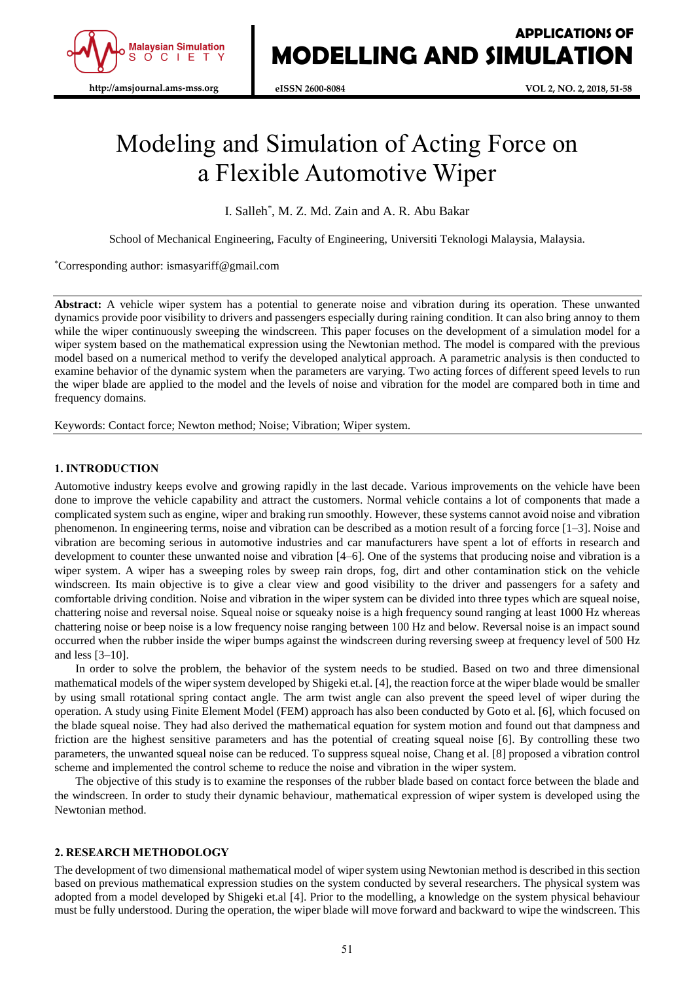

# Modeling and Simulation of Acting Force on a Flexible Automotive Wiper

I. Salleh\* , M. Z. Md. Zain and A. R. Abu Bakar

School of Mechanical Engineering, Faculty of Engineering, Universiti Teknologi Malaysia, Malaysia.

## \*Corresponding author: ismasyariff@gmail.com

**Abstract:** A vehicle wiper system has a potential to generate noise and vibration during its operation. These unwanted dynamics provide poor visibility to drivers and passengers especially during raining condition. It can also bring annoy to them while the wiper continuously sweeping the windscreen. This paper focuses on the development of a simulation model for a wiper system based on the mathematical expression using the Newtonian method. The model is compared with the previous model based on a numerical method to verify the developed analytical approach. A parametric analysis is then conducted to examine behavior of the dynamic system when the parameters are varying. Two acting forces of different speed levels to run the wiper blade are applied to the model and the levels of noise and vibration for the model are compared both in time and frequency domains.

Keywords: Contact force; Newton method; Noise; Vibration; Wiper system.

# **1. INTRODUCTION**

Automotive industry keeps evolve and growing rapidly in the last decade. Various improvements on the vehicle have been done to improve the vehicle capability and attract the customers. Normal vehicle contains a lot of components that made a complicated system such as engine, wiper and braking run smoothly. However, these systems cannot avoid noise and vibration phenomenon. In engineering terms, noise and vibration can be described as a motion result of a forcing force [1–3]. Noise and vibration are becoming serious in automotive industries and car manufacturers have spent a lot of efforts in research and development to counter these unwanted noise and vibration [4–6]. One of the systems that producing noise and vibration is a wiper system. A wiper has a sweeping roles by sweep rain drops, fog, dirt and other contamination stick on the vehicle windscreen. Its main objective is to give a clear view and good visibility to the driver and passengers for a safety and comfortable driving condition. Noise and vibration in the wiper system can be divided into three types which are squeal noise, chattering noise and reversal noise. Squeal noise or squeaky noise is a high frequency sound ranging at least 1000 Hz whereas chattering noise or beep noise is a low frequency noise ranging between 100 Hz and below. Reversal noise is an impact sound occurred when the rubber inside the wiper bumps against the windscreen during reversing sweep at frequency level of 500 Hz and less [3–10].

In order to solve the problem, the behavior of the system needs to be studied. Based on two and three dimensional mathematical models of the wiper system developed by Shigeki et.al. [4], the reaction force at the wiper blade would be smaller by using small rotational spring contact angle. The arm twist angle can also prevent the speed level of wiper during the operation. A study using Finite Element Model (FEM) approach has also been conducted by Goto et al. [6], which focused on the blade squeal noise. They had also derived the mathematical equation for system motion and found out that dampness and friction are the highest sensitive parameters and has the potential of creating squeal noise [6]. By controlling these two parameters, the unwanted squeal noise can be reduced. To suppress squeal noise, Chang et al. [8] proposed a vibration control scheme and implemented the control scheme to reduce the noise and vibration in the wiper system.

The objective of this study is to examine the responses of the rubber blade based on contact force between the blade and the windscreen. In order to study their dynamic behaviour, mathematical expression of wiper system is developed using the Newtonian method.

#### **2. RESEARCH METHODOLOGY**

The development of two dimensional mathematical model of wiper system using Newtonian method is described in this section based on previous mathematical expression studies on the system conducted by several researchers. The physical system was adopted from a model developed by Shigeki et.al [4]. Prior to the modelling, a knowledge on the system physical behaviour must be fully understood. During the operation, the wiper blade will move forward and backward to wipe the windscreen. This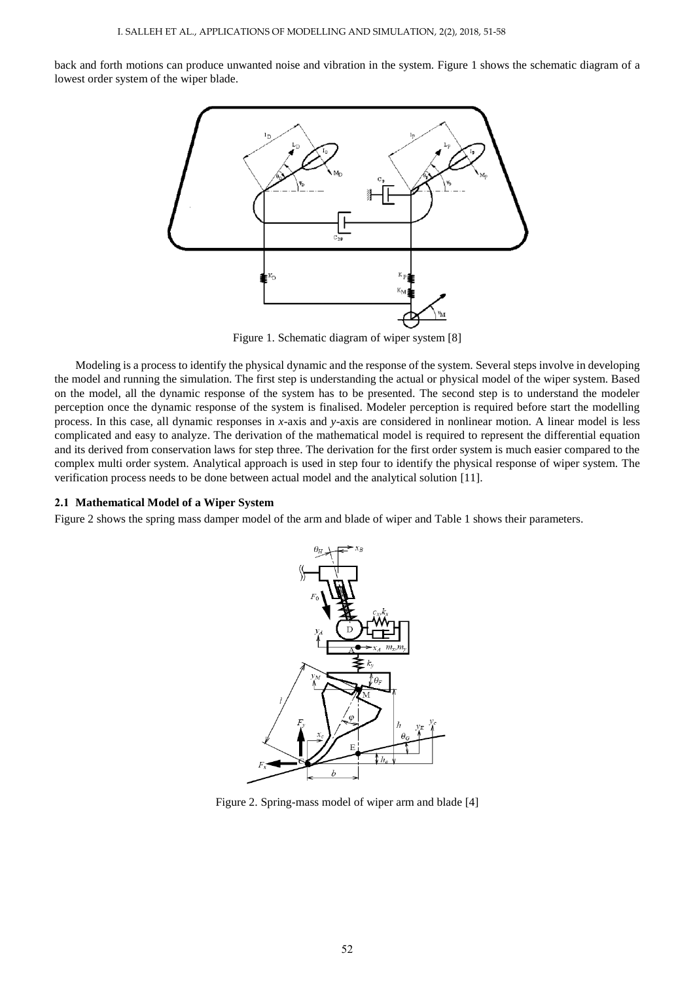back and forth motions can produce unwanted noise and vibration in the system. Figure 1 shows the schematic diagram of a lowest order system of the wiper blade.



Figure 1. Schematic diagram of wiper system [8]

Modeling is a process to identify the physical dynamic and the response of the system. Several steps involve in developing the model and running the simulation. The first step is understanding the actual or physical model of the wiper system. Based on the model, all the dynamic response of the system has to be presented. The second step is to understand the modeler perception once the dynamic response of the system is finalised. Modeler perception is required before start the modelling process. In this case, all dynamic responses in *x*-axis and *y*-axis are considered in nonlinear motion. A linear model is less complicated and easy to analyze. The derivation of the mathematical model is required to represent the differential equation and its derived from conservation laws for step three. The derivation for the first order system is much easier compared to the complex multi order system. Analytical approach is used in step four to identify the physical response of wiper system. The verification process needs to be done between actual model and the analytical solution [11].

#### **2.1 Mathematical Model of a Wiper System**

Figure 2 shows the spring mass damper model of the arm and blade of wiper and Table 1 shows their parameters.



Figure 2. Spring-mass model of wiper arm and blade [4]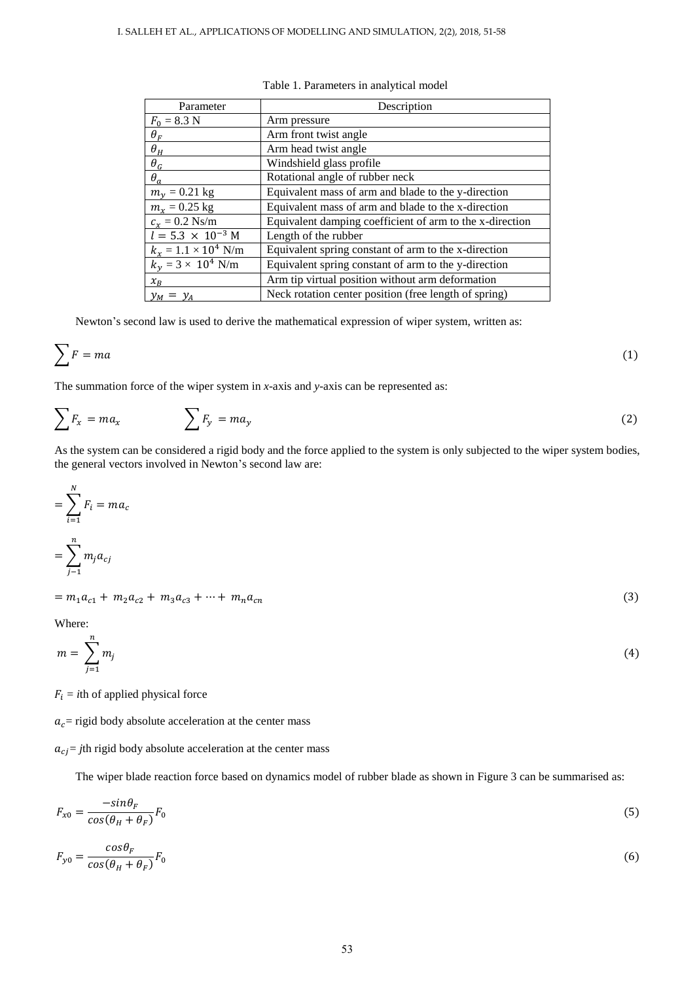| Parameter                   | Description                                              |
|-----------------------------|----------------------------------------------------------|
| $F_0 = 8.3$ N               | Arm pressure                                             |
| $\theta_F$                  | Arm front twist angle                                    |
| $\theta_H$                  | Arm head twist angle                                     |
| $\theta_G$                  | Windshield glass profile                                 |
| $\theta_a$                  | Rotational angle of rubber neck                          |
| $m_v = 0.21$ kg             | Equivalent mass of arm and blade to the y-direction      |
| $m_r = 0.25$ kg             | Equivalent mass of arm and blade to the x-direction      |
| $c_r = 0.2$ Ns/m            | Equivalent damping coefficient of arm to the x-direction |
| $l = 5.3 \times 10^{-3}$ M  | Length of the rubber                                     |
| $k_r = 1.1 \times 10^4$ N/m | Equivalent spring constant of arm to the x-direction     |
| $k_v = 3 \times 10^4$ N/m   | Equivalent spring constant of arm to the y-direction     |
| $x_B$                       | Arm tip virtual position without arm deformation         |
| $y_M = y_A$                 | Neck rotation center position (free length of spring)    |

Table 1. Parameters in analytical model

Newton's second law is used to derive the mathematical expression of wiper system, written as:

$$
\sum F = ma \tag{1}
$$

The summation force of the wiper system in *x*-axis and *y*-axis can be represented as:

$$
\sum F_x = ma_x \qquad \qquad \sum F_y = ma_y \tag{2}
$$

As the system can be considered a rigid body and the force applied to the system is only subjected to the wiper system bodies, the general vectors involved in Newton's second law are:

$$
=\sum_{i=1}^{N} F_i = ma_c
$$
  
= 
$$
\sum_{j=1}^{n} m_j a_{cj}
$$
  
= 
$$
m_1 a_{c1} + m_2 a_{c2} + m_3 a_{c3} + \dots + m_n a_{cn}
$$
 (3)

Where:

$$
m = \sum_{j=1}^{n} m_j \tag{4}
$$

 $F_i = i$ th of applied physical force

 $a_c$  = rigid body absolute acceleration at the center mass

 $a_{ci}$  = *j*th rigid body absolute acceleration at the center mass

The wiper blade reaction force based on dynamics model of rubber blade as shown in Figure 3 can be summarised as:

$$
F_{x0} = \frac{-\sin\theta_F}{\cos(\theta_H + \theta_F)} F_0
$$
\n<sup>(5)</sup>

$$
F_{y0} = \frac{\cos \theta_F}{\cos(\theta_H + \theta_F)} F_0 \tag{6}
$$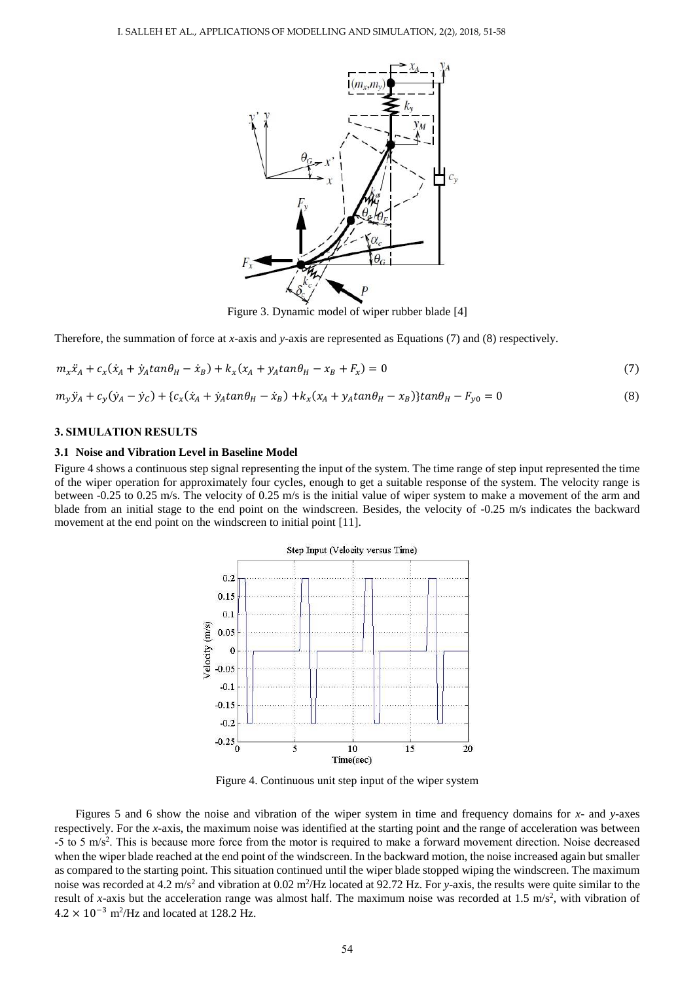

Figure 3. Dynamic model of wiper rubber blade [4]

Therefore, the summation of force at *x*-axis and *y*-axis are represented as Equations (7) and (8) respectively.

$$
m_{x}\ddot{x}_{A} + c_{x}(\dot{x}_{A} + \dot{y}_{A}tan\theta_{H} - \dot{x}_{B}) + k_{x}(x_{A} + y_{A}tan\theta_{H} - x_{B} + F_{x}) = 0
$$
\n(7)

$$
m_y \ddot{y}_A + c_y (\dot{y}_A - \dot{y}_C) + \{c_x (\dot{x}_A + \dot{y}_A \tan \theta_H - \dot{x}_B) + k_x (x_A + y_A \tan \theta_H - x_B)\} \tan \theta_H - F_{y0} = 0
$$
\n(8)

#### **3. SIMULATION RESULTS**

#### **3.1 Noise and Vibration Level in Baseline Model**

Figure 4 shows a continuous step signal representing the input of the system. The time range of step input represented the time of the wiper operation for approximately four cycles, enough to get a suitable response of the system. The velocity range is between -0.25 to 0.25 m/s. The velocity of 0.25 m/s is the initial value of wiper system to make a movement of the arm and blade from an initial stage to the end point on the windscreen. Besides, the velocity of -0.25 m/s indicates the backward movement at the end point on the windscreen to initial point [11].



Figure 4. Continuous unit step input of the wiper system

Figures 5 and 6 show the noise and vibration of the wiper system in time and frequency domains for *x*- and *y*-axes respectively. For the *x*-axis, the maximum noise was identified at the starting point and the range of acceleration was between  $-5$  to 5 m/s<sup>2</sup>. This is because more force from the motor is required to make a forward movement direction. Noise decreased when the wiper blade reached at the end point of the windscreen. In the backward motion, the noise increased again but smaller as compared to the starting point. This situation continued until the wiper blade stopped wiping the windscreen. The maximum noise was recorded at 4.2 m/s<sup>2</sup> and vibration at 0.02 m<sup>2</sup>/Hz located at 92.72 Hz. For *y*-axis, the results were quite similar to the result of *x*-axis but the acceleration range was almost half. The maximum noise was recorded at  $1.5 \text{ m/s}^2$ , with vibration of  $4.2 \times 10^{-3}$  m<sup>2</sup>/Hz and located at 128.2 Hz.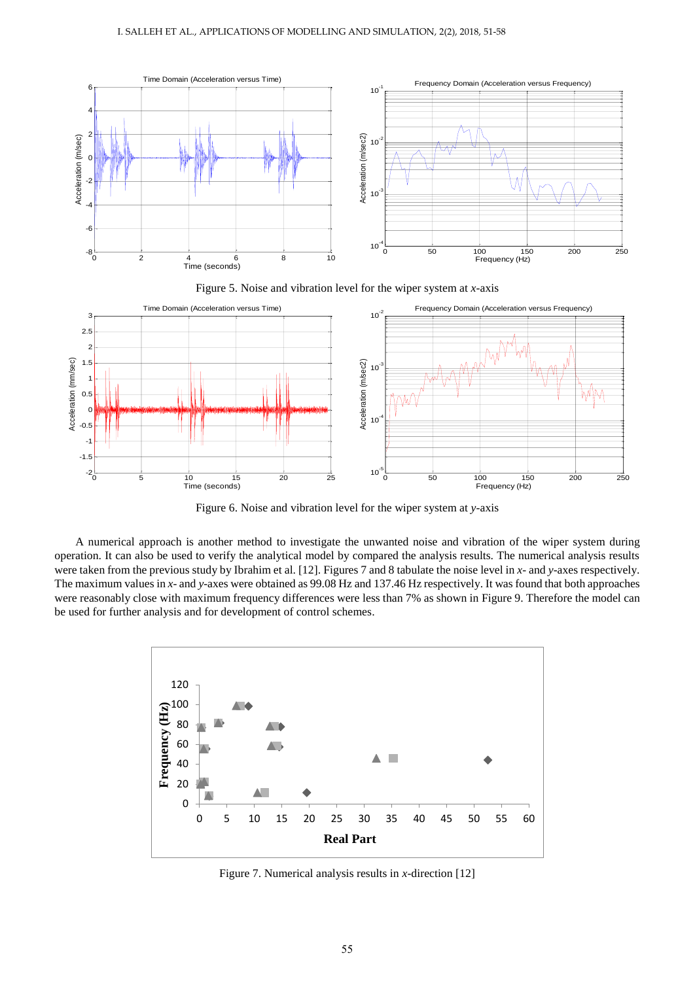

Figure 6. Noise and vibration level for the wiper system at *y*-axis

A numerical approach is another method to investigate the unwanted noise and vibration of the wiper system during operation. It can also be used to verify the analytical model by compared the analysis results. The numerical analysis results were taken from the previous study by Ibrahim et al. [12]. Figures 7 and 8 tabulate the noise level in *x*- and *y*-axes respectively. The maximum values in *x*- and *y*-axes were obtained as 99.08 Hz and 137.46 Hz respectively. It was found that both approaches were reasonably close with maximum frequency differences were less than 7% as shown in Figure 9. Therefore the model can be used for further analysis and for development of control schemes.



Figure 7. Numerical analysis results in *x*-direction [12]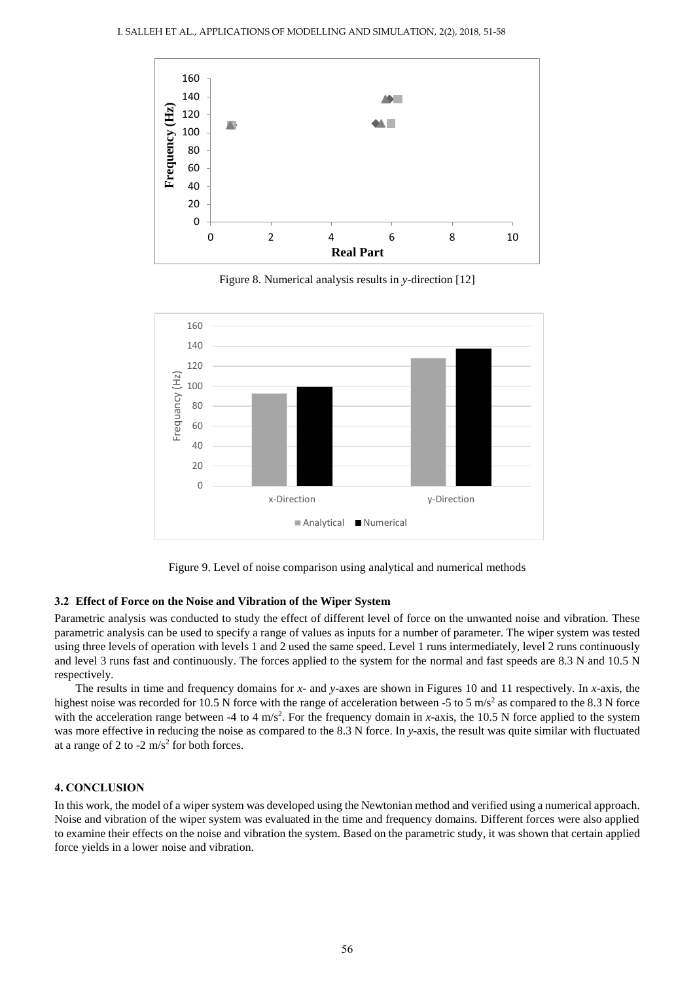

Figure 8. Numerical analysis results in *y*-direction [12]



Figure 9. Level of noise comparison using analytical and numerical methods

#### **3.2 Effect of Force on the Noise and Vibration of the Wiper System**

Parametric analysis was conducted to study the effect of different level of force on the unwanted noise and vibration. These parametric analysis can be used to specify a range of values as inputs for a number of parameter. The wiper system was tested using three levels of operation with levels 1 and 2 used the same speed. Level 1 runs intermediately, level 2 runs continuously and level 3 runs fast and continuously. The forces applied to the system for the normal and fast speeds are 8.3 N and 10.5 N respectively.

The results in time and frequency domains for *x*- and *y*-axes are shown in Figures 10 and 11 respectively. In *x*-axis, the highest noise was recorded for 10.5 N force with the range of acceleration between -5 to 5  $\text{m/s}^2$  as compared to the 8.3 N force with the acceleration range between -4 to 4 m/s<sup>2</sup>. For the frequency domain in *x*-axis, the 10.5 N force applied to the system was more effective in reducing the noise as compared to the 8.3 N force. In *y*-axis, the result was quite similar with fluctuated at a range of 2 to  $-2$  m/s<sup>2</sup> for both forces.

#### **4. CONCLUSION**

In this work, the model of a wiper system was developed using the Newtonian method and verified using a numerical approach. Noise and vibration of the wiper system was evaluated in the time and frequency domains. Different forces were also applied to examine their effects on the noise and vibration the system. Based on the parametric study, it was shown that certain applied force yields in a lower noise and vibration.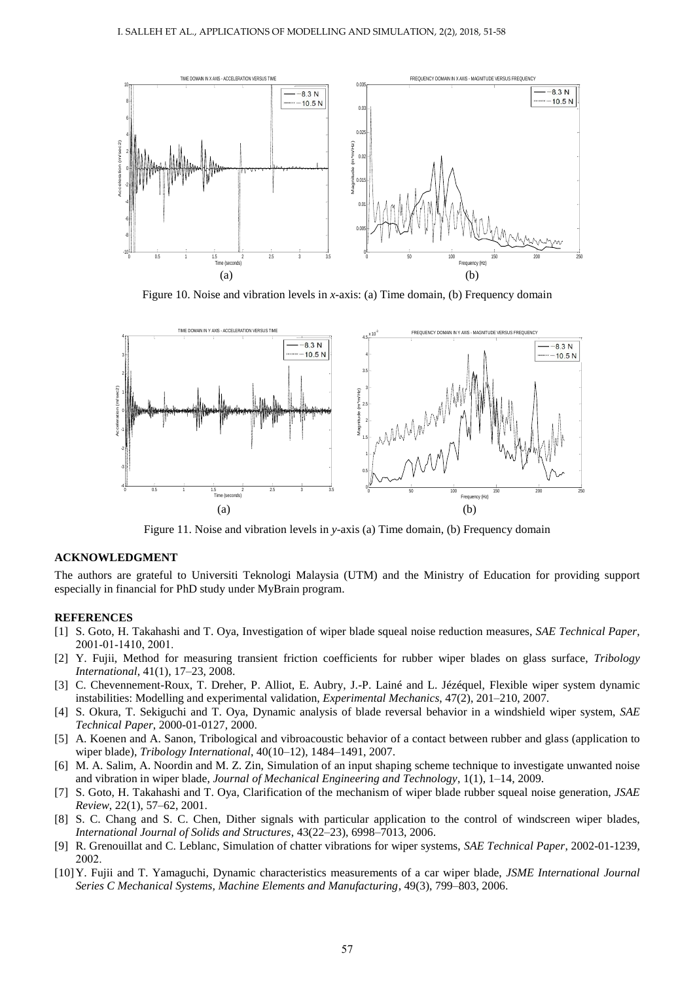

Figure 10. Noise and vibration levels in *x*-axis: (a) Time domain, (b) Frequency domain



Figure 11. Noise and vibration levels in *y*-axis (a) Time domain, (b) Frequency domain

## **ACKNOWLEDGMENT**

The authors are grateful to Universiti Teknologi Malaysia (UTM) and the Ministry of Education for providing support especially in financial for PhD study under MyBrain program.

#### **REFERENCES**

- [1] S. Goto, H. Takahashi and T. Oya, Investigation of wiper blade squeal noise reduction measures, *SAE Technical Paper*, 2001-01-1410, 2001.
- [2] Y. Fujii, Method for measuring transient friction coefficients for rubber wiper blades on glass surface, *Tribology International*, 41(1), 17–23, 2008.
- [3] C. Chevennement-Roux, T. Dreher, P. Alliot, E. Aubry, J.-P. Lainé and L. Jézéquel, Flexible wiper system dynamic instabilities: Modelling and experimental validation, *Experimental Mechanics*, 47(2), 201–210, 2007.
- [4] S. Okura, T. Sekiguchi and T. Oya, Dynamic analysis of blade reversal behavior in a windshield wiper system, *SAE Technical Paper*, 2000-01-0127, 2000.
- [5] A. Koenen and A. Sanon, Tribological and vibroacoustic behavior of a contact between rubber and glass (application to wiper blade), *Tribology International*, 40(10–12), 1484–1491, 2007.
- [6] M. A. Salim, A. Noordin and M. Z. Zin, Simulation of an input shaping scheme technique to investigate unwanted noise and vibration in wiper blade, *Journal of Mechanical Engineering and Technology*, 1(1), 1–14, 2009.
- [7] S. Goto, H. Takahashi and T. Oya, Clarification of the mechanism of wiper blade rubber squeal noise generation, *JSAE Review*, 22(1), 57–62, 2001.
- [8] S. C. Chang and S. C. Chen, Dither signals with particular application to the control of windscreen wiper blades, *International Journal of Solids and Structures*, 43(22–23), 6998–7013, 2006.
- [9] R. Grenouillat and C. Leblanc, Simulation of chatter vibrations for wiper systems, *SAE Technical Paper*, 2002-01-1239, 2002.
- [10]Y. Fujii and T. Yamaguchi, Dynamic characteristics measurements of a car wiper blade, *JSME International Journal Series C Mechanical Systems, Machine Elements and Manufacturing*, 49(3), 799–803, 2006.